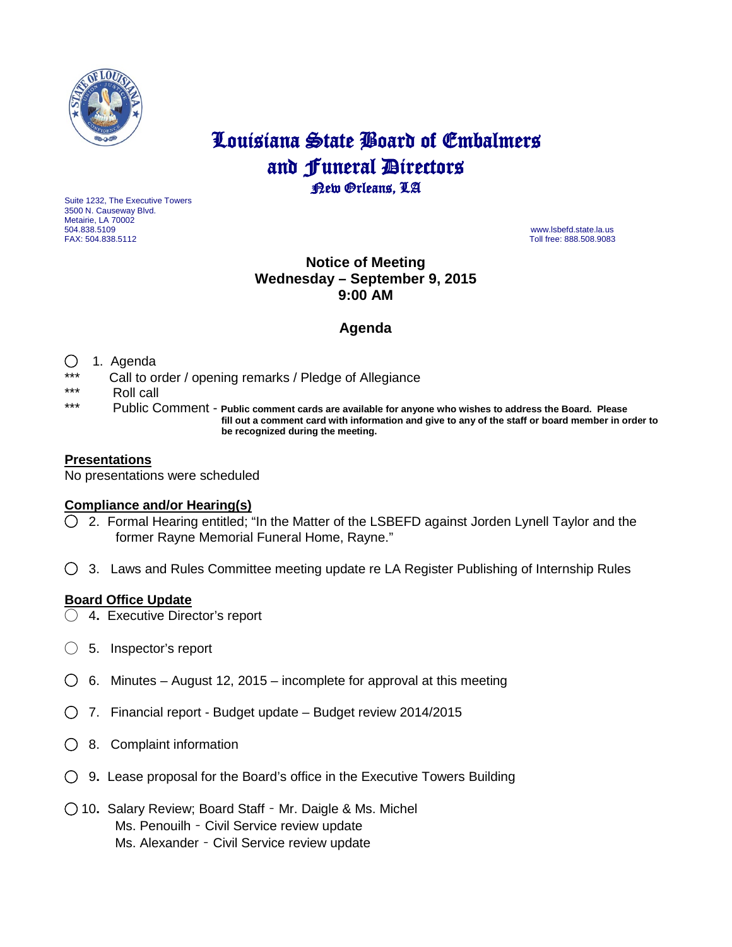

# Louisiana State Board of Embalmers and **Funeral Directors**<br>**Rew Orleans**, LA

Suite 1232, The Executive Towers 3500 N. Causeway Blvd. Metairie, LA 70002 504.838.5109 www.lsbefd.state.la.us

Toll free: 888.508.9083

# **Notice of Meeting Wednesday – September 9, 2015 9:00 AM**

# **Agenda**

## ◯ 1. Agenda

- \*\*\* Call to order / opening remarks / Pledge of Allegiance
- \*\*\* Roll call<br>\*\*\* Publie C
- Public Comment Public comment cards are available for anyone who wishes to address the Board. Please  **fill out a comment card with information and give to any of the staff or board member in order to be recognized during the meeting.**

## **Presentations**

No presentations were scheduled

#### **Compliance and/or Hearing(s)**

- ◯ 2. Formal Hearing entitled; "In the Matter of the LSBEFD against Jorden Lynell Taylor and the former Rayne Memorial Funeral Home, Rayne."
- ◯3. Laws and Rules Committee meeting update re LA Register Publishing of Internship Rules

#### **Board Office Update**

- ◯ 4**.** Executive Director's report
- ◯ 5.Inspector's report
- ◯6. Minutes August 12, 2015 incomplete for approval at this meeting
- ◯ 7. Financial report Budget update Budget review 2014/2015
- ◯ 8. Complaint information
- ◯ 9**.** Lease proposal for the Board's office in the Executive Towers Building
- ◯ 10**.** Salary Review; Board Staff Mr. Daigle & Ms. Michel Ms. Penouilh – Civil Service review update Ms. Alexander – Civil Service review update